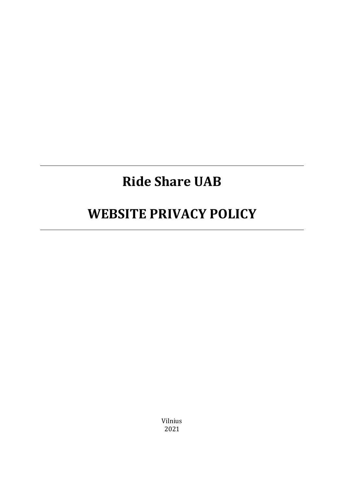# **Ride Share UAB**

## **WEBSITE PRIVACY POLICY**

Vilnius 2021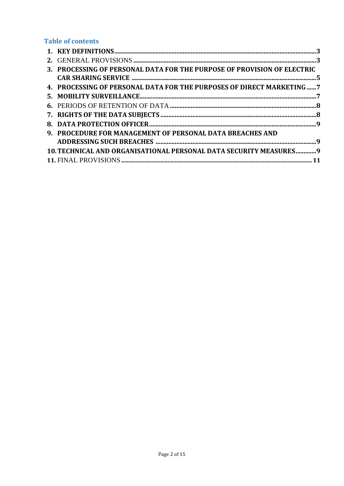## **Table of contents**

| 3. PROCESSING OF PERSONAL DATA FOR THE PURPOSE OF PROVISION OF ELECTRIC |  |
|-------------------------------------------------------------------------|--|
|                                                                         |  |
| 4. PROCESSING OF PERSONAL DATA FOR THE PURPOSES OF DIRECT MARKETING  7  |  |
|                                                                         |  |
|                                                                         |  |
|                                                                         |  |
|                                                                         |  |
| 9. PROCEDURE FOR MANAGEMENT OF PERSONAL DATA BREACHES AND               |  |
|                                                                         |  |
| 10. TECHNICAL AND ORGANISATIONAL PERSONAL DATA SECURITY MEASURES 9      |  |
|                                                                         |  |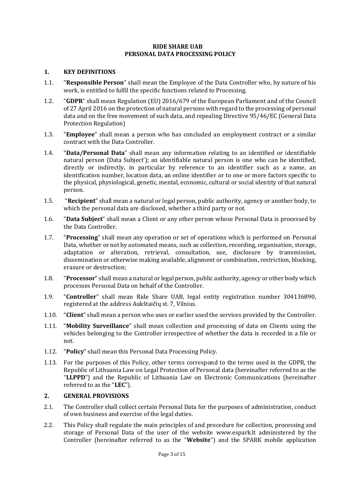## **RIDE SHARE UAB PERSONAL DATA PROCESSING POLICY**

#### <span id="page-2-0"></span>**1. KEY DEFINITIONS**

- 1.1. "**Responsible Person**" shall mean the Employee of the Data Controller who, by nature of his work, is entitled to fulfil the specific functions related to Processing.
- 1.2. "**GDPR**" shall mean Regulation (EU) 2016/679 of the European Parliament and of the Council of 27 April 2016 on the protection of natural persons with regard to the processing of personal data and on the free movement of such data, and repealing Directive 95/46/EC (General Data Protection Regulation)
- 1.3. "**Employee**" shall mean a person who has concluded an employment contract or a similar contract with the Data Controller.
- 1.4. "**Data/Personal Data**" shall mean any information relating to an identified or identifiable natural person (Data Subject'); an identifiable natural person is one who can be identified, directly or indirectly, in particular by reference to an identifier such as a name, an identification number, location data, an online identifier or to one or more factors specific to the physical, physiological, genetic, mental, economic, cultural or social identity of that natural person.
- 1.5. "**Recipient**" shall mean a natural or legal person, public authority, agency or another body, to which the personal data are disclosed, whether a third party or not.
- 1.6. "**Data Subject**" shall mean a Client or any other person whose Personal Data is processed by the Data Controller.
- 1.7. "**Processing**" shall mean any operation or set of operations which is performed on Personal Data, whether or not by automated means, such as collection, recording, organisation, storage, adaptation or alteration, retrieval, consultation, use, disclosure by transmission, dissemination or otherwise making available, alignment or combination, restriction, blocking, erasure or destruction;
- 1.8. "**Processor**" shall mean a natural or legal person, public authority, agency or other body which processes Personal Data on behalf of the Controller.
- 1.9. "**Controller**" shall mean Ride Share UAB, legal entity registration number 304136890, registered at the address Aukštaičių st. 7, Vilnius.
- 1.10. "**Client**" shall mean a person who uses or earlier used the services provided by the Controller.
- 1.11. "**Mobility Surveillance**" shall mean collection and processing of data on Clients using the vehicles belonging to the Controller irrespective of whether the data is recorded in a file or not.
- 1.12. "**Policy**" shall mean this Personal Data Processing Policy.
- 1.13. For the purposes of this Policy, other terms correspond to the terms used in the GDPR, the Republic of Lithuania Law on Legal Protection of Personal data (hereinafter referred to as the "**LLPPD**") and the Republic of Lithuania Law on Electronic Communications (hereinafter referred to as the "**LEC**").

#### <span id="page-2-1"></span>**2. GENERAL PROVISIONS**

- 2.1. The Controller shall collect certain Personal Data for the purposes of administration, conduct of own business and exercise of the legal duties.
- 2.2. This Policy shall regulate the main principles of and procedure for collection, processing and storage of Personal Data of the user of the website www.espark.lt administered by the Controller (hereinafter referred to as the "**Website**") and the SPARK mobile application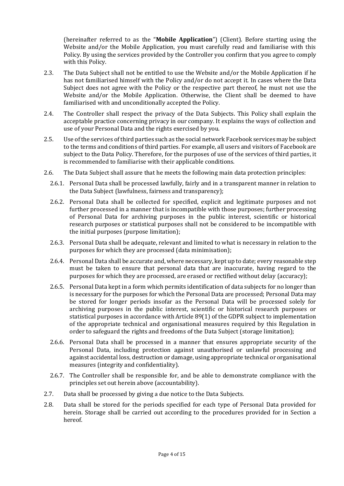(hereinafter referred to as the "**Mobile Application**") (Client). Before starting using the Website and/or the Mobile Application, you must carefully read and familiarise with this Policy. By using the services provided by the Controller you confirm that you agree to comply with this Policy.

- 2.3. The Data Subject shall not be entitled to use the Website and/or the Mobile Application if he has not familiarised himself with the Policy and/or do not accept it. In cases where the Data Subject does not agree with the Policy or the respective part thereof, he must not use the Website and/or the Mobile Application. Otherwise, the Client shall be deemed to have familiarised with and unconditionally accepted the Policy.
- 2.4. The Controller shall respect the privacy of the Data Subjects. This Policy shall explain the acceptable practice concerning privacy in our company. It explains the ways of collection and use of your Personal Data and the rights exercised by you.
- 2.5. Use of the services of third parties such as the social network Facebook services may be subject to the terms and conditions of third parties. For example, all users and visitors of Facebook are subject to the Data Policy. Therefore, for the purposes of use of the services of third parties, it is recommended to familiarise with their applicable conditions.
- 2.6. The Data Subject shall assure that he meets the following main data protection principles:
	- 2.6.1. Personal Data shall be processed lawfully, fairly and in a transparent manner in relation to the Data Subject (lawfulness, fairness and transparency);
	- 2.6.2. Personal Data shall be collected for specified, explicit and legitimate purposes and not further processed in a manner that is incompatible with those purposes; further processing of Personal Data for archiving purposes in the public interest, scientific or historical research purposes or statistical purposes shall not be considered to be incompatible with the initial purposes (purpose limitation);
	- 2.6.3. Personal Data shall be adequate, relevant and limited to what is necessary in relation to the purposes for which they are processed (data minimisation);
	- 2.6.4. Personal Data shall be accurate and, where necessary, kept up to date; every reasonable step must be taken to ensure that personal data that are inaccurate, having regard to the purposes for which they are processed, are erased or rectified without delay (accuracy);
	- 2.6.5. Personal Data kept in a form which permits identification of data subjects for no longer than is necessary for the purposes for which the Personal Data are processed; Personal Data may be stored for longer periods insofar as the Personal Data will be processed solely for archiving purposes in the public interest, scientific or historical research purposes or statistical purposes in accordance with Article 89(1) of the GDPR subject to implementation of the appropriate technical and organisational measures required by this Regulation in order to safeguard the rights and freedoms of the Data Subject (storage limitation);
	- 2.6.6. Personal Data shall be processed in a manner that ensures appropriate security of the Personal Data, including protection against unauthorised or unlawful processing and against accidental loss, destruction or damage, using appropriate technical or organisational measures (integrity and confidentiality).
	- 2.6.7. The Controller shall be responsible for, and be able to demonstrate compliance with the principles set out herein above (accountability).
- 2.7. Data shall be processed by giving a due notice to the Data Subjects.
- 2.8. Data shall be stored for the periods specified for each type of Personal Data provided for herein. Storage shall be carried out according to the procedures provided for in Section a hereof.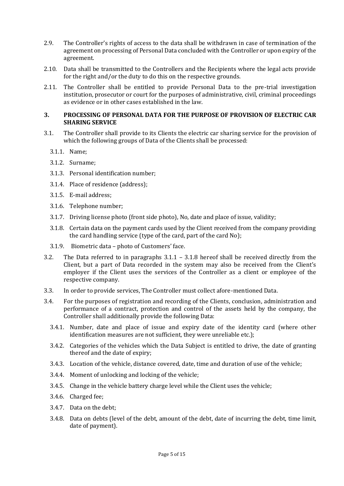- 2.9. The Controller's rights of access to the data shall be withdrawn in case of termination of the agreement on processing of Personal Data concluded with the Controller or upon expiry of the agreement.
- 2.10. Data shall be transmitted to the Controllers and the Recipients where the legal acts provide for the right and/or the duty to do this on the respective grounds.
- 2.11. The Controller shall be entitled to provide Personal Data to the pre-trial investigation institution, prosecutor or court for the purposes of administrative, civil, criminal proceedings as evidence or in other cases established in the law.

#### <span id="page-4-0"></span>**3. PROCESSING OF PERSONAL DATA FOR THE PURPOSE OF PROVISION OF ELECTRIC CAR SHARING SERVICE**

- <span id="page-4-1"></span>3.1. The Controller shall provide to its Clients the electric car sharing service for the provision of which the following groups of Data of the Clients shall be processed:
	- 3.1.1. Name;
	- 3.1.2. Surname;
	- 3.1.3. Personal identification number;
	- 3.1.4. Place of residence (address);
	- 3.1.5. E-mail address;
	- 3.1.6. Telephone number;
	- 3.1.7. Driving license photo (front side photo), No, date and place of issue, validity;
	- 3.1.8. Certain data on the payment cards used by the Client received from the company providing the card handling service (type of the card, part of the card No);
	- 3.1.9. Biometric data photo of Customers' face.
- 3.2. The Data referred to in paragraphs [3.1.1](#page-4-1) 3.1.8 hereof shall be received directly from the Client, but a part of Data recorded in the system may also be received from the Client's employer if the Client uses the services of the Controller as a client or employee of the respective company.
- 3.3. In order to provide services, The Controller must collect afore-mentioned Data.
- 3.4. For the purposes of registration and recording of the Clients, conclusion, administration and performance of a contract, protection and control of the assets held by the company, the Controller shall additionally provide the following Data:
	- 3.4.1. Number, date and place of issue and expiry date of the identity card (where other identification measures are not sufficient, they were unreliable etc.);
	- 3.4.2. Categories of the vehicles which the Data Subject is entitled to drive, the date of granting thereof and the date of expiry;
	- 3.4.3. Location of the vehicle, distance covered, date, time and duration of use of the vehicle;
	- 3.4.4. Moment of unlocking and locking of the vehicle;
	- 3.4.5. Change in the vehicle battery charge level while the Client uses the vehicle;
	- 3.4.6. Charged fee;
	- 3.4.7. Data on the debt;
	- 3.4.8. Data on debts (level of the debt, amount of the debt, date of incurring the debt, time limit, date of payment).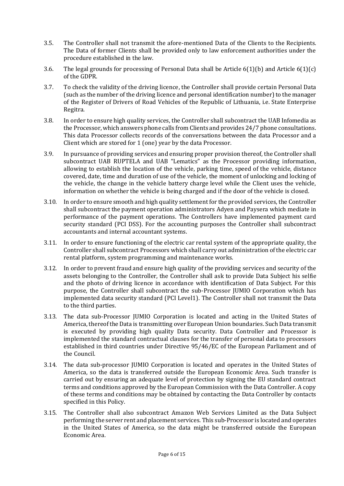- 3.5. The Controller shall not transmit the afore-mentioned Data of the Clients to the Recipients. The Data of former Clients shall be provided only to law enforcement authorities under the procedure established in the law.
- 3.6. The legal grounds for processing of Personal Data shall be Article 6(1)(b) and Article 6(1)(c) of the GDPR.
- 3.7. To check the validity of the driving licence, the Controller shall provide certain Personal Data (such as the number of the driving licence and personal identification number) to the manager of the Register of Drivers of Road Vehicles of the Republic of Lithuania, i.e. State Enterprise Regitra.
- 3.8. In order to ensure high quality services, the Controller shall subcontract the UAB Infomedia as the Processor, which answers phone calls from Clients and provides 24/7 phone consultations. This data Processor collects records of the conversations between the data Processor and a Client which are stored for 1 (one) year by the data Processor.
- 3.9. In pursuance of providing services and ensuring proper provision thereof, the Controller shall subcontract UAB RUPTELA and UAB "Lematics" as the Processor providing information, allowing to establish the location of the vehicle, parking time, speed of the vehicle, distance covered, date, time and duration of use of the vehicle, the moment of unlocking and locking of the vehicle, the change in the vehicle battery charge level while the Client uses the vehicle, information on whether the vehicle is being charged and if the door of the vehicle is closed.
- 3.10. In order to ensure smooth and high quality settlement for the provided services, the Controller shall subcontract the payment operation administrators Adyen and Paysera which mediate in performance of the payment operations. The Controllers have implemented payment card security standard (PCI DSS). For the accounting purposes the Controller shall subcontract accountants and internal accountant systems.
- 3.11. In order to ensure functioning of the electric car rental system of the appropriate quality, the Controller shall subcontract Processors which shall carry out administration of the electric car rental platform, system programming and maintenance works.
- 3.12. In order to prevent fraud and ensure high quality of the providing services and security of the assets belonging to the Controller, the Controller shall ask to provide Data Subject his selfie and the photo of driving licence in accordance with identification of Data Subject. For this purpose, the Controller shall subcontract the sub-Processor JUMIO Corporation which has implemented data security standard (PCI Level1). The Controller shall not transmit the Data to the third parties.
- 3.13. The data sub-Processor JUMIO Corporation is located and acting in the United States of America, thereof the Data is transmitting over European Union boundaries. Such Data transmit is executed by providing high quality Data security. Data Controller and Processor is implemented the standard contractual clauses for the transfer of personal data to processors established in third countries under Directive 95/46/EC of the European Parliament and of the Council.
- 3.14. The data sub-processor JUMIO Corporation is located and operates in the United States of America, so the data is transferred outside the European Economic Area. Such transfer is carried out by ensuring an adequate level of protection by signing the EU standard contract terms and conditions approved by the European Commission with the Data Controller. A copy of these terms and conditions may be obtained by contacting the Data Controller by contacts specified in this Policy.
- 3.15. The Controller shall also subcontract Amazon Web Services Limited as the Data Subject performing the server rent and placement services. This sub-Processor is located and operates in the United States of America, so the data might be transferred outside the European Economic Area.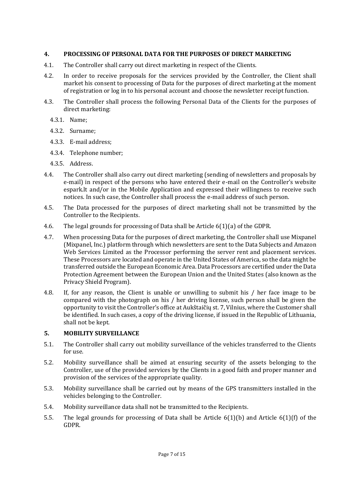## <span id="page-6-0"></span>**4. PROCESSING OF PERSONAL DATA FOR THE PURPOSES OF DIRECT MARKETING**

- 4.1. The Controller shall carry out direct marketing in respect of the Clients.
- 4.2. In order to receive proposals for the services provided by the Controller, the Client shall market his consent to processing of Data for the purposes of direct marketing at the moment of registration or log in to his personal account and choose the newsletter receipt function.
- 4.3. The Controller shall process the following Personal Data of the Clients for the purposes of direct marketing:
	- 4.3.1. Name;
	- 4.3.2. Surname;
	- 4.3.3. E-mail address;
	- 4.3.4. Telephone number;
	- 4.3.5. Address.
- 4.4. The Controller shall also carry out direct marketing (sending of newsletters and proposals by e-mail) in respect of the persons who have entered their e-mail on the Controller's website espark.lt and/or in the Mobile Application and expressed their willingness to receive such notices. In such case, the Controller shall process the e-mail address of such person.
- 4.5. The Data processed for the purposes of direct marketing shall not be transmitted by the Controller to the Recipients.
- 4.6. The legal grounds for processing of Data shall be Article 6(1)(a) of the GDPR.
- 4.7. When processing Data for the purposes of direct marketing, the Controller shall use Mixpanel (Mixpanel, Inc.) platform through which newsletters are sent to the Data Subjects and Amazon Web Services Limited as the Processor performing the server rent and placement services. These Processors are located and operate in the United States of America, so the data might be transferred outside the European Economic Area. Data Processors are certified under the Data Protection Agreement between the European Union and the United States (also known as the Privacy Shield Program).
- 4.8. If, for any reason, the Client is unable or unwilling to submit his / her face image to be compared with the photograph on his / her driving license, such person shall be given the opportunity to visit the Controller's office at Aukštaičių st. 7, Vilnius, where the Customer shall be identified. In such cases, a copy of the driving license, if issued in the Republic of Lithuania, shall not be kept.

## <span id="page-6-1"></span>**5. MOBILITY SURVEILLANCE**

- 5.1. The Controller shall carry out mobility surveillance of the vehicles transferred to the Clients for use.
- 5.2. Mobility surveillance shall be aimed at ensuring security of the assets belonging to the Controller, use of the provided services by the Clients in a good faith and proper manner and provision of the services of the appropriate quality.
- 5.3. Mobility surveillance shall be carried out by means of the GPS transmitters installed in the vehicles belonging to the Controller.
- 5.4. Mobility surveillance data shall not be transmitted to the Recipients.
- 5.5. The legal grounds for processing of Data shall be Article 6(1)(b) and Article 6(1)(f) of the GDPR.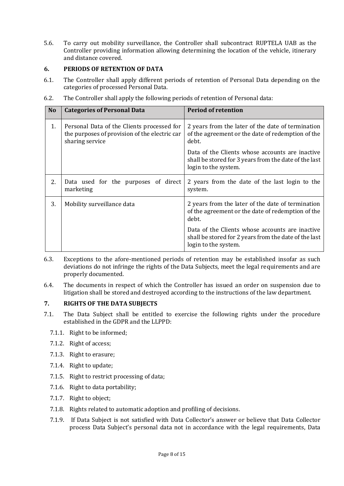5.6. To carry out mobility surveillance, the Controller shall subcontract RUPTELA UAB as the Controller providing information allowing determining the location of the vehicle, itinerary and distance covered.

## <span id="page-7-0"></span>**6. PERIODS OF RETENTION OF DATA**

6.1. The Controller shall apply different periods of retention of Personal Data depending on the categories of processed Personal Data.

| 6.2. | The Controller shall apply the following periods of retention of Personal data: |  |
|------|---------------------------------------------------------------------------------|--|
|      |                                                                                 |  |

| N <sub>o</sub> | <b>Categories of Personal Data</b>                                                                             | <b>Period of retention</b>                                                                                                       |
|----------------|----------------------------------------------------------------------------------------------------------------|----------------------------------------------------------------------------------------------------------------------------------|
| 1.             | Personal Data of the Clients processed for<br>the purposes of provision of the electric car<br>sharing service | 2 years from the later of the date of termination<br>of the agreement or the date of redemption of the<br>debt.                  |
|                |                                                                                                                | Data of the Clients whose accounts are inactive<br>shall be stored for 3 years from the date of the last<br>login to the system. |
| 2.             | Data used for the purposes of direct<br>marketing                                                              | 2 years from the date of the last login to the<br>system.                                                                        |
| 3.             | Mobility surveillance data                                                                                     | 2 years from the later of the date of termination<br>of the agreement or the date of redemption of the<br>debt.                  |
|                |                                                                                                                | Data of the Clients whose accounts are inactive<br>shall be stored for 2 years from the date of the last<br>login to the system. |

- 6.3. Exceptions to the afore-mentioned periods of retention may be established insofar as such deviations do not infringe the rights of the Data Subjects, meet the legal requirements and are properly documented.
- 6.4. The documents in respect of which the Controller has issued an order on suspension due to litigation shall be stored and destroyed according to the instructions of the law department.

## <span id="page-7-1"></span>**7. RIGHTS OF THE DATA SUBJECTS**

- <span id="page-7-3"></span><span id="page-7-2"></span>7.1. The Data Subject shall be entitled to exercise the following rights under the procedure established in the GDPR and the LLPPD:
	- 7.1.1. Right to be informed;
	- 7.1.2. Right of access;
	- 7.1.3. Right to erasure;
	- 7.1.4. Right to update;
	- 7.1.5. Right to restrict processing of data;
	- 7.1.6. Right to data portability;
	- 7.1.7. Right to object;
	- 7.1.8. Rights related to automatic adoption and profiling of decisions.
	- 7.1.9. If Data Subject is not satisfied with Data Collector's answer or believe that Data Collector process Data Subject's personal data not in accordance with the legal requirements, Data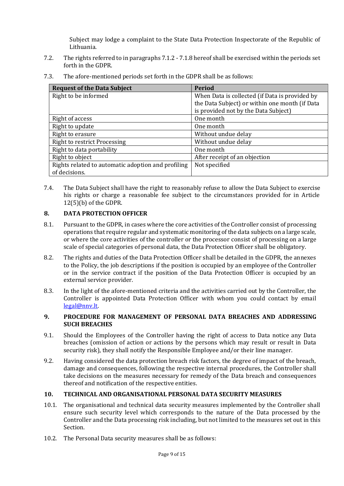Subject may lodge a complaint to the State Data Protection Inspectorate of the Republic of Lithuania.

- 7.2. The rights referred to in paragraphs [7.1.2](#page-7-2) [7.1.8](#page-7-3) hereof shall be exercised within the periods set forth in the GDPR.
- 7.3. The afore-mentioned periods set forth in the GDPR shall be as follows:

| <b>Request of the Data Subject</b>                 | Period                                         |
|----------------------------------------------------|------------------------------------------------|
| Right to be informed                               | When Data is collected (if Data is provided by |
|                                                    | the Data Subject) or within one month (if Data |
|                                                    | is provided not by the Data Subject)           |
| Right of access                                    | One month                                      |
| Right to update                                    | One month                                      |
| Right to erasure                                   | Without undue delay                            |
| <b>Right to restrict Processing</b>                | Without undue delay                            |
| Right to data portability                          | One month                                      |
| Right to object                                    | After receipt of an objection                  |
| Rights related to automatic adoption and profiling | Not specified                                  |
| of decisions.                                      |                                                |

7.4. The Data Subject shall have the right to reasonably refuse to allow the Data Subject to exercise his rights or charge a reasonable fee subject to the circumstances provided for in Article 12(5)(b) of the GDPR.

## <span id="page-8-0"></span>**8. DATA PROTECTION OFFICER**

- 8.1. Pursuant to the GDPR, in cases where the core activities of the Controller consist of processing operations that require regular and systematic monitoring of the data subjects on a large scale, or where the core activities of the controller or the processor consist of processing on a large scale of special categories of personal data, the Data Protection Officer shall be obligatory.
- 8.2. The rights and duties of the Data Protection Officer shall be detailed in the GDPR, the annexes to the Policy, the job descriptions if the position is occupied by an employee of the Controller or in the service contract if the position of the Data Protection Officer is occupied by an external service provider.
- 8.3. In the light of the afore-mentioned criteria and the activities carried out by the Controller, the Controller is appointed Data Protection Officer with whom you could contact by email [legal@nnv.lt.](mailto:legal@nnv.lt)

## <span id="page-8-1"></span>**9. PROCEDURE FOR MANAGEMENT OF PERSONAL DATA BREACHES AND ADDRESSING SUCH BREACHES**

- 9.1. Should the Employees of the Controller having the right of access to Data notice any Data breaches (omission of action or actions by the persons which may result or result in Data security risk), they shall notify the Responsible Employee and/or their line manager.
- 9.2. Having considered the data protection breach risk factors, the degree of impact of the breach, damage and consequences, following the respective internal procedures, the Controller shall take decisions on the measures necessary for remedy of the Data breach and consequences thereof and notification of the respective entities.

## **10. TECHNICAL AND ORGANISATIONAL PERSONAL DATA SECURITY MEASURES**

- 10.1. The organisational and technical data security measures implemented by the Controller shall ensure such security level which corresponds to the nature of the Data processed by the Controller and the Data processing risk including, but not limited to the measures set out in this Section.
- 10.2. The Personal Data security measures shall be as follows: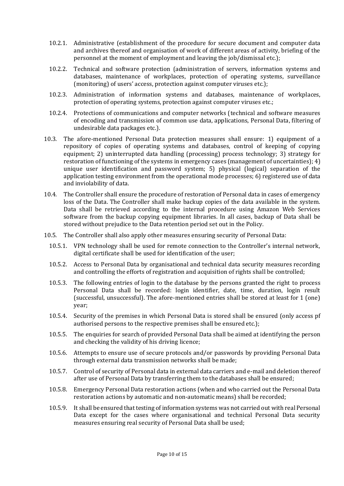- 10.2.1. Administrative (establishment of the procedure for secure document and computer data and archives thereof and organisation of work of different areas of activity, briefing of the personnel at the moment of employment and leaving the job/dismissal etc.);
- 10.2.2. Technical and software protection (administration of servers, information systems and databases, maintenance of workplaces, protection of operating systems, surveillance (monitoring) of users' access, protection against computer viruses etc.);
- 10.2.3. Administration of information systems and databases, maintenance of workplaces, protection of operating systems, protection against computer viruses etc.;
- 10.2.4. Protections of communications and computer networks (technical and software measures of encoding and transmission of common use data, applications, Personal Data, filtering of undesirable data packages etc.).
- 10.3. The afore-mentioned Personal Data protection measures shall ensure: 1) equipment of a repository of copies of operating systems and databases, control of keeping of copying equipment; 2) uninterrupted data handling (processing) process technology; 3) strategy for restoration of functioning of the systems in emergency cases (management of uncertainties); 4) unique user identification and password system; 5) physical (logical) separation of the application testing environment from the operational mode processes; 6) registered use of data and inviolability of data.
- 10.4. The Controller shall ensure the procedure of restoration of Personal data in cases of emergency loss of the Data. The Controller shall make backup copies of the data available in the system. Data shall be retrieved according to the internal procedure using Amazon Web Services software from the backup copying equipment libraries. In all cases, backup of Data shall be stored without prejudice to the Data retention period set out in the Policy.
- 10.5. The Controller shall also apply other measures ensuring security of Personal Data:
	- 10.5.1. VPN technology shall be used for remote connection to the Controller's internal network, digital certificate shall be used for identification of the user;
	- 10.5.2. Access to Personal Data by organisational and technical data security measures recording and controlling the efforts of registration and acquisition of rights shall be controlled;
	- 10.5.3. The following entries of login to the database by the persons granted the right to process Personal Data shall be recorded: login identifier, date, time, duration, login result (successful, unsuccessful). The afore-mentioned entries shall be stored at least for 1 (one) year;
	- 10.5.4. Security of the premises in which Personal Data is stored shall be ensured (only access pf authorised persons to the respective premises shall be ensured etc.);
	- 10.5.5. The enquiries for search of provided Personal Data shall be aimed at identifying the person and checking the validity of his driving licence;
	- 10.5.6. Attempts to ensure use of secure protocols and/or passwords by providing Personal Data through external data transmission networks shall be made;
	- 10.5.7. Control of security of Personal data in external data carriers and e-mail and deletion thereof after use of Personal Data by transferring them to the databases shall be ensured;
	- 10.5.8. Emergency Personal Data restoration actions (when and who carried out the Personal Data restoration actions by automatic and non-automatic means) shall be recorded;
	- 10.5.9. It shall be ensured that testing of information systems was not carried out with real Personal Data except for the cases where organisational and technical Personal Data security measures ensuring real security of Personal Data shall be used;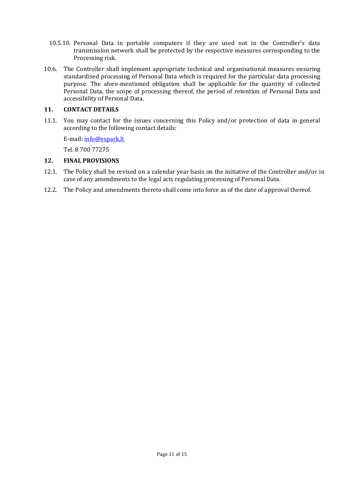- 10.5.10. Personal Data in portable computers if they are used not in the Controller's data transmission network shall be protected by the respective measures corresponding to the Processing risk.
- 10.6. The Controller shall implement appropriate technical and organisational measures ensuring standardised processing of Personal Data which is required for the particular data processing purpose. The afore-mentioned obligation shall be applicable for the quantity of collected Personal Data, the scope of processing thereof, the period of retention of Personal Data and accessibility of Personal Data.

## **11. CONTACT DETAILS**

11.1. You may contact for the issues concerning this Policy and/or protection of data in general according to the following contact details:

E-mail: [info@espark.lt](mailto:info@espark.lt)

Tel. 8 700 77275

#### <span id="page-10-0"></span>**12. FINAL PROVISIONS**

- 12.1. The Policy shall be revised on a calendar year basis on the initiative of the Controller and/or in case of any amendments to the legal acts regulating processing of Personal Data.
- 12.2. The Policy and amendments thereto shall come into force as of the date of approval thereof.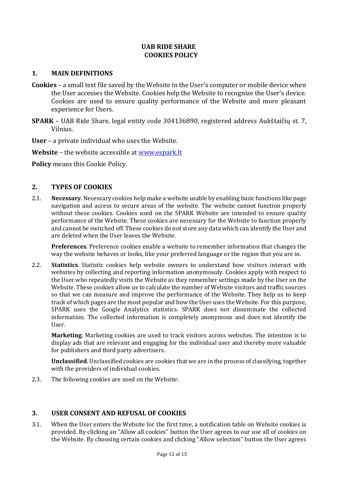## **UAB RIDE SHARE COOKIES POLICY**

## **1. MAIN DEFINITIONS**

- **Cookies**  a small text file saved by the Website in the User's computer or mobile device when the User accesses the Website. Cookies help the Website to recognize the User's device. Cookies are used to ensure quality performance of the Website and more pleasant experience for Users.
- **SPARK** UAB Ride Share, legal entity code 304136890, registered address Aukštaičių st. 7, Vilnius.

**User** – a private individual who uses the Website.

**Website** – the website accessible at [www.espark.lt](http://www.espark.lt/)

**Policy** means this Cookie Policy.

## **2. TYPES OF COOKIES**

2.1. **Necessary**. Necessary cookies help make a website usable by enabling basic functions like page navigation and access to secure areas of the website. The website cannot function properly without these cookies. Cookies used on the SPARK Website are intended to ensure quality performance of the Website. These cookies are necessary for the Website to function properly and cannot be switched off. These cookies do not store any data which can identify the User and are deleted when the User leaves the Website.

**Preferences**. Preference cookies enable a website to remember information that changes the way the website behaves or looks, like your preferred language or the region that you are in.

2.2. **Statistics**. Statistic cookies help website owners to understand how visitors interact with websites by collecting and reporting information anonymously. Cookies apply with respect to the User who repeatedly visits the Website as they remember settings made by the User on the Website. These cookies allow us to calculate the number of Website visitors and traffic sources so that we can measure and improve the performance of the Website. They help us to keep track of which pages are the most popular and how the User uses the Website. For this purpose, SPARK uses the Google Analytics statistics. SPARK does not disseminate the collected information. The collected information is completely anonymous and does not identify the User.

**Marketing**. Marketing cookies are used to track visitors across websites. The intention is to display ads that are relevant and engaging for the individual user and thereby more valuable for publishers and third party advertisers.

**Unclassified**. Unclassified cookies are cookies that we are in the process of classifying, together with the providers of individual cookies.

2.3. The following cookies are used on the Website:

## **3. USER CONSENT AND REFUSAL OF COOKIES**

3.1. When the User enters the Website for the first time, a notification table on Website cookies is provided. By clicking an "Allow all cookies" button the User agrees to our use all of cookies on the Website. By choosing certain cookies and clicking "Allow selection" button the User agrees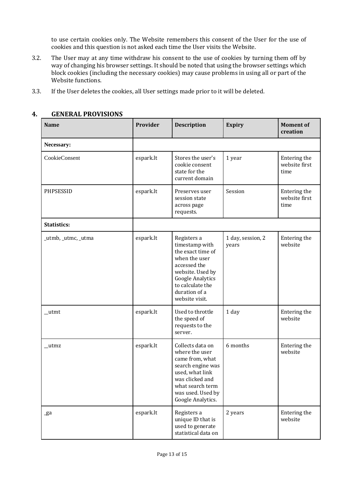to use certain cookies only. The Website remembers this consent of the User for the use of cookies and this question is not asked each time the User visits the Website.

- 3.2. The User may at any time withdraw his consent to the use of cookies by turning them off by way of changing his browser settings. It should be noted that using the browser settings which block cookies (including the necessary cookies) may cause problems in using all or part of the Website functions.
- 3.3. If the User deletes the cookies, all User settings made prior to it will be deleted.

| <b>Name</b>         | Provider  | <b>Description</b>                                                                                                                                                                        | Expiry                     | <b>Moment of</b><br>creation          |
|---------------------|-----------|-------------------------------------------------------------------------------------------------------------------------------------------------------------------------------------------|----------------------------|---------------------------------------|
| Necessary:          |           |                                                                                                                                                                                           |                            |                                       |
| CookieConsent       | espark.lt | Stores the user's<br>cookie consent<br>state for the<br>current domain                                                                                                                    | 1 year                     | Entering the<br>website first<br>time |
| PHPSESSID           | espark.lt | Preserves user<br>session state<br>across page<br>requests.                                                                                                                               | Session                    | Entering the<br>website first<br>time |
| <b>Statistics:</b>  |           |                                                                                                                                                                                           |                            |                                       |
| _utmb, _utmc, _utma | espark.lt | Registers a<br>timestamp with<br>the exact time of<br>when the user<br>accessed the<br>website. Used by<br><b>Google Analytics</b><br>to calculate the<br>duration of a<br>website visit. | 1 day, session, 2<br>years | Entering the<br>website               |
| _utmt               | espark.lt | Used to throttle<br>the speed of<br>requests to the<br>server.                                                                                                                            | 1 day                      | Entering the<br>website               |
| $_{\text{utmz}}$    | espark.lt | Collects data on<br>where the user<br>came from, what<br>search engine was<br>used, what link<br>was clicked and<br>what search term<br>was used. Used by<br>Google Analytics.            | 6 months                   | Entering the<br>website               |
| _ga                 | espark.lt | Registers a<br>unique ID that is<br>used to generate<br>statistical data on                                                                                                               | 2 years                    | Entering the<br>website               |

## **4. GENERAL PROVISIONS**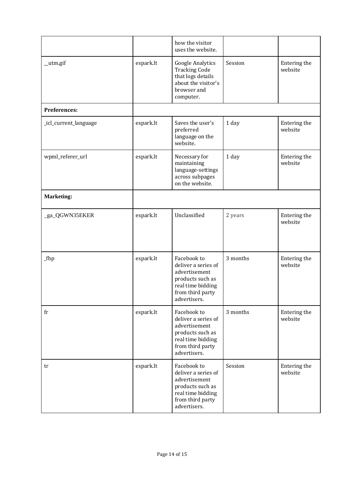|                       |           | how the visitor<br>uses the website.                                                                                             |          |                         |
|-----------------------|-----------|----------------------------------------------------------------------------------------------------------------------------------|----------|-------------------------|
| _utm.gif              | espark.lt | <b>Google Analytics</b><br><b>Tracking Code</b><br>that logs details<br>about the visitor's<br>browser and<br>computer.          | Session  | Entering the<br>website |
| Preferences:          |           |                                                                                                                                  |          |                         |
| _icl_current_language | espark.lt | Saves the user's<br>preferred<br>language on the<br>website.                                                                     | 1 day    | Entering the<br>website |
| wpml_referer_url      | espark.lt | Necessary for<br>maintaining<br>language-settings<br>across subpages<br>on the website.                                          | 1 day    | Entering the<br>website |
| <b>Marketing:</b>     |           |                                                                                                                                  |          |                         |
| _ga_QGWN35EKER        | espark.lt | Unclassified                                                                                                                     | 2 years  | Entering the<br>website |
| $_fbp$                | espark.lt | Facebook to<br>deliver a series of<br>advertisement<br>products such as<br>real time bidding<br>from third party<br>advertisers. | 3 months | Entering the<br>website |
| fr                    | espark.lt | Facebook to<br>deliver a series of<br>advertisement<br>products such as<br>real time bidding<br>from third party<br>advertisers. | 3 months | Entering the<br>website |
| tr                    | espark.lt | Facebook to<br>deliver a series of<br>advertisement<br>products such as<br>real time bidding<br>from third party<br>advertisers. | Session  | Entering the<br>website |